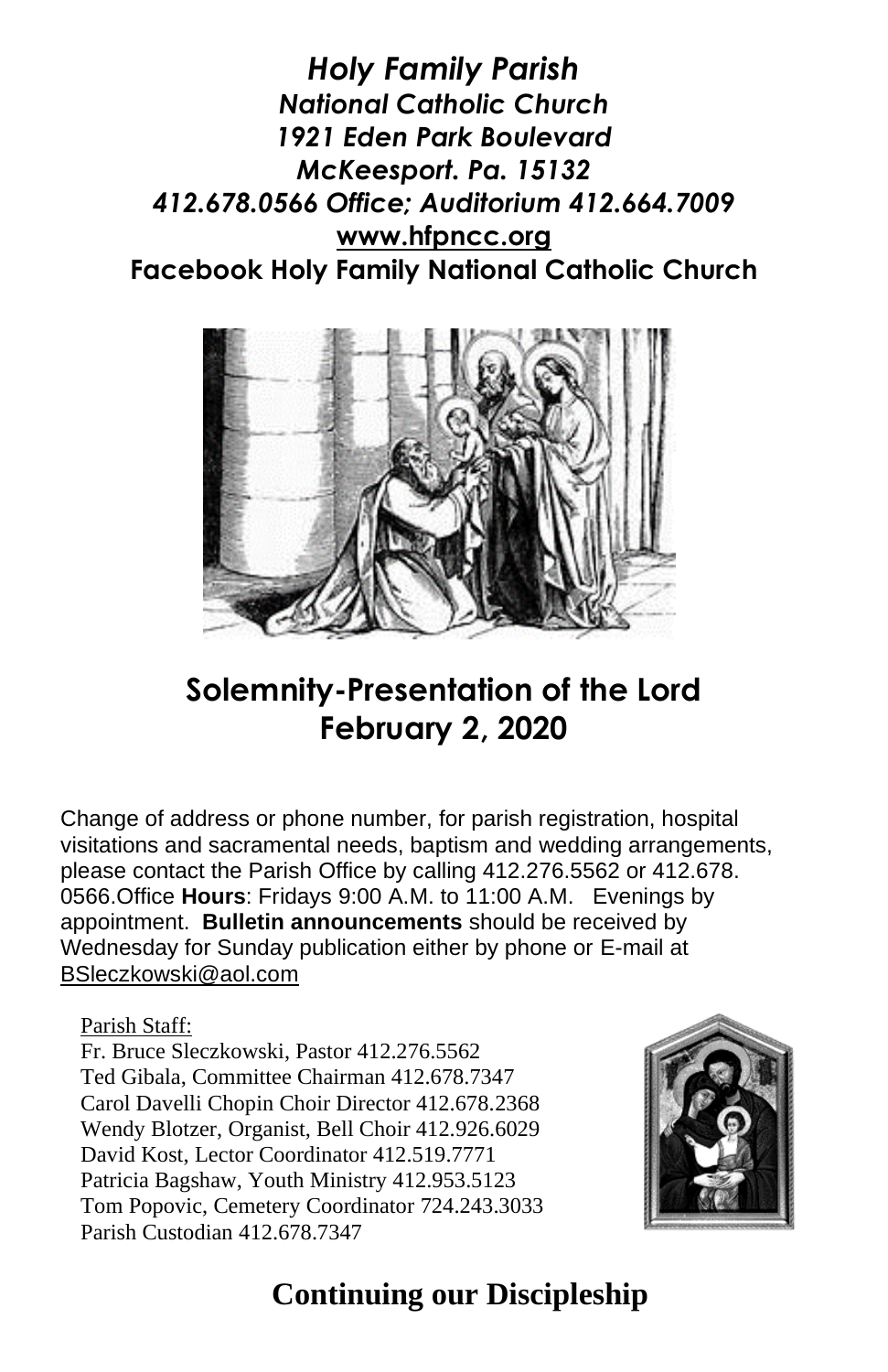*Holy Family Parish National Catholic Church 1921 Eden Park Boulevard McKeesport. Pa. 15132 412.678.0566 Office; Auditorium 412.664.7009* **[www.hfpncc.org](http://www.hfpncc.org/) Facebook Holy Family National Catholic Church**



# **Solemnity-Presentation of the Lord February 2, 2020**

Change of address or phone number, for parish registration, hospital visitations and sacramental needs, baptism and wedding arrangements, please contact the Parish Office by calling 412.276.5562 or 412.678. 0566.Office **Hours**: Fridays 9:00 A.M. to 11:00 A.M. Evenings by appointment. **Bulletin announcements** should be received by Wednesday for Sunday publication either by phone or E-mail at [BSleczkowski@aol.com](mailto:BSleczkowski@aol.com)

#### Parish Staff:

Fr. Bruce Sleczkowski, Pastor 412.276.5562 Ted Gibala, Committee Chairman 412.678.7347 Carol Davelli Chopin Choir Director 412.678.2368 Wendy Blotzer, Organist, Bell Choir 412.926.6029 David Kost, Lector Coordinator 412.519.7771 Patricia Bagshaw, Youth Ministry 412.953.5123 Tom Popovic, Cemetery Coordinator 724.243.3033 Parish Custodian 412.678.7347



### **Continuing our Discipleship**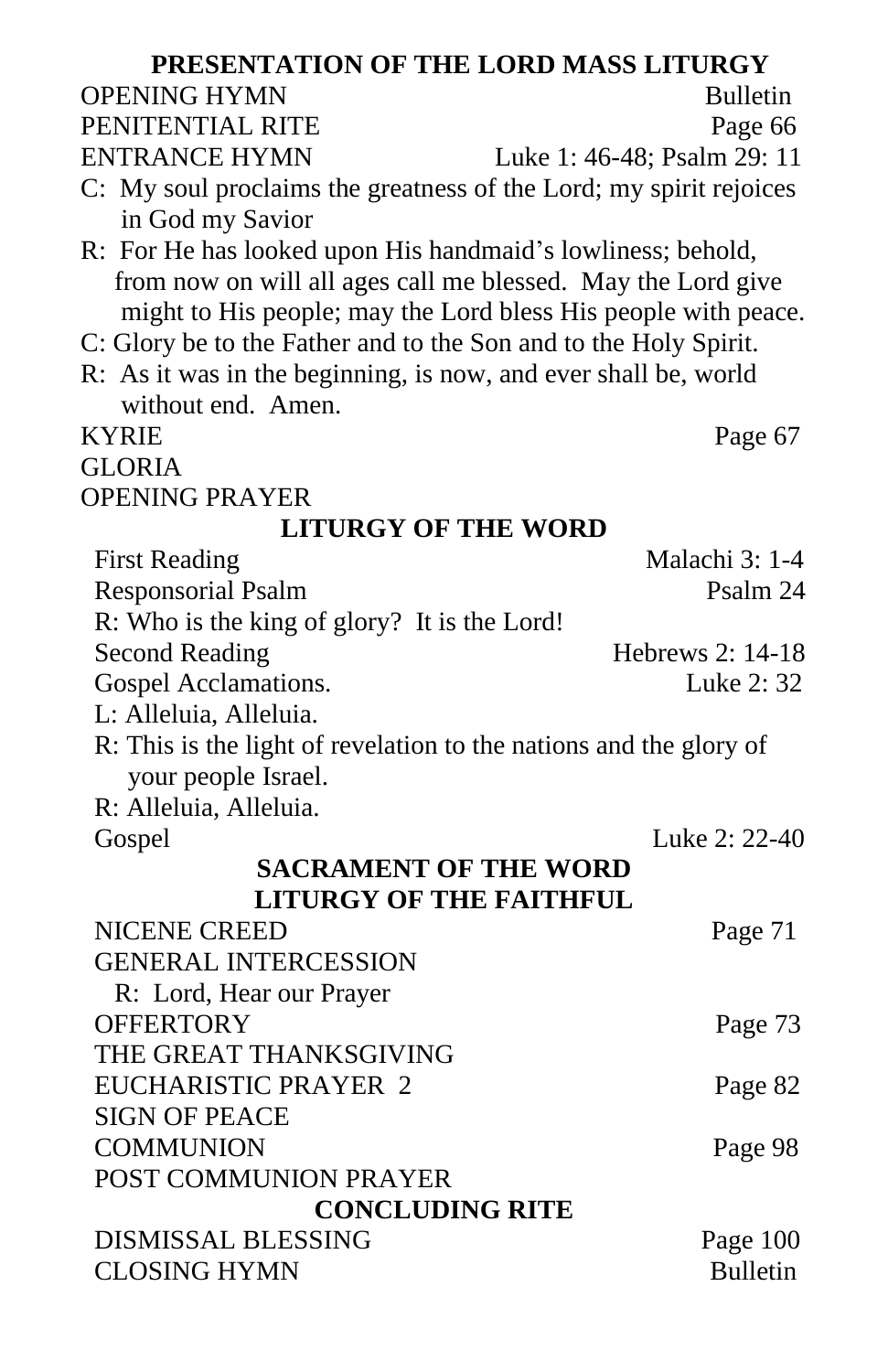| PRESENTATION OF THE LORD MASS LITURGY                              |                  |
|--------------------------------------------------------------------|------------------|
| <b>OPENING HYMN</b>                                                | <b>Bulletin</b>  |
| PENITENTIAL RITE                                                   | Page 66          |
| <b>ENTRANCE HYMN</b><br>Luke 1: 46-48; Psalm 29: 11                |                  |
| C: My soul proclaims the greatness of the Lord; my spirit rejoices |                  |
| in God my Savior                                                   |                  |
| R: For He has looked upon His handmaid's lowliness; behold,        |                  |
| from now on will all ages call me blessed. May the Lord give       |                  |
| might to His people; may the Lord bless His people with peace.     |                  |
| C: Glory be to the Father and to the Son and to the Holy Spirit.   |                  |
| R: As it was in the beginning, is now, and ever shall be, world    |                  |
| without end. Amen.                                                 |                  |
| <b>KYRIE</b>                                                       | Page 67          |
| <b>GLORIA</b>                                                      |                  |
| <b>OPENING PRAYER</b>                                              |                  |
| <b>LITURGY OF THE WORD</b>                                         |                  |
| <b>First Reading</b>                                               | Malachi 3: 1-4   |
| <b>Responsorial Psalm</b>                                          | Psalm 24         |
| R: Who is the king of glory? It is the Lord!                       |                  |
| <b>Second Reading</b>                                              | Hebrews 2: 14-18 |
| Gospel Acclamations.                                               | Luke 2: 32       |
| L: Alleluia, Alleluia.                                             |                  |
| R: This is the light of revelation to the nations and the glory of |                  |
| your people Israel.                                                |                  |
| R: Alleluia, Alleluia.                                             |                  |
| Gospel                                                             | Luke 2: 22-40    |
| <b>SACRAMENT OF THE WORD</b><br><b>LITURGY OF THE FAITHFUL</b>     |                  |
| <b>NICENE CREED</b>                                                |                  |
| <b>GENERAL INTERCESSION</b>                                        | Page 71          |
|                                                                    |                  |
| R: Lord, Hear our Prayer<br><b>OFFERTORY</b>                       | Page 73          |
| THE GREAT THANKSGIVING                                             |                  |
| EUCHARISTIC PRAYER 2                                               | Page 82          |
| <b>SIGN OF PEACE</b>                                               |                  |
| <b>COMMUNION</b>                                                   | Page 98          |
| POST COMMUNION PRAYER                                              |                  |
| <b>CONCLUDING RITE</b>                                             |                  |
| <b>DISMISSAL BLESSING</b>                                          | Page 100         |
| <b>CLOSING HYMN</b>                                                | <b>Bulletin</b>  |
|                                                                    |                  |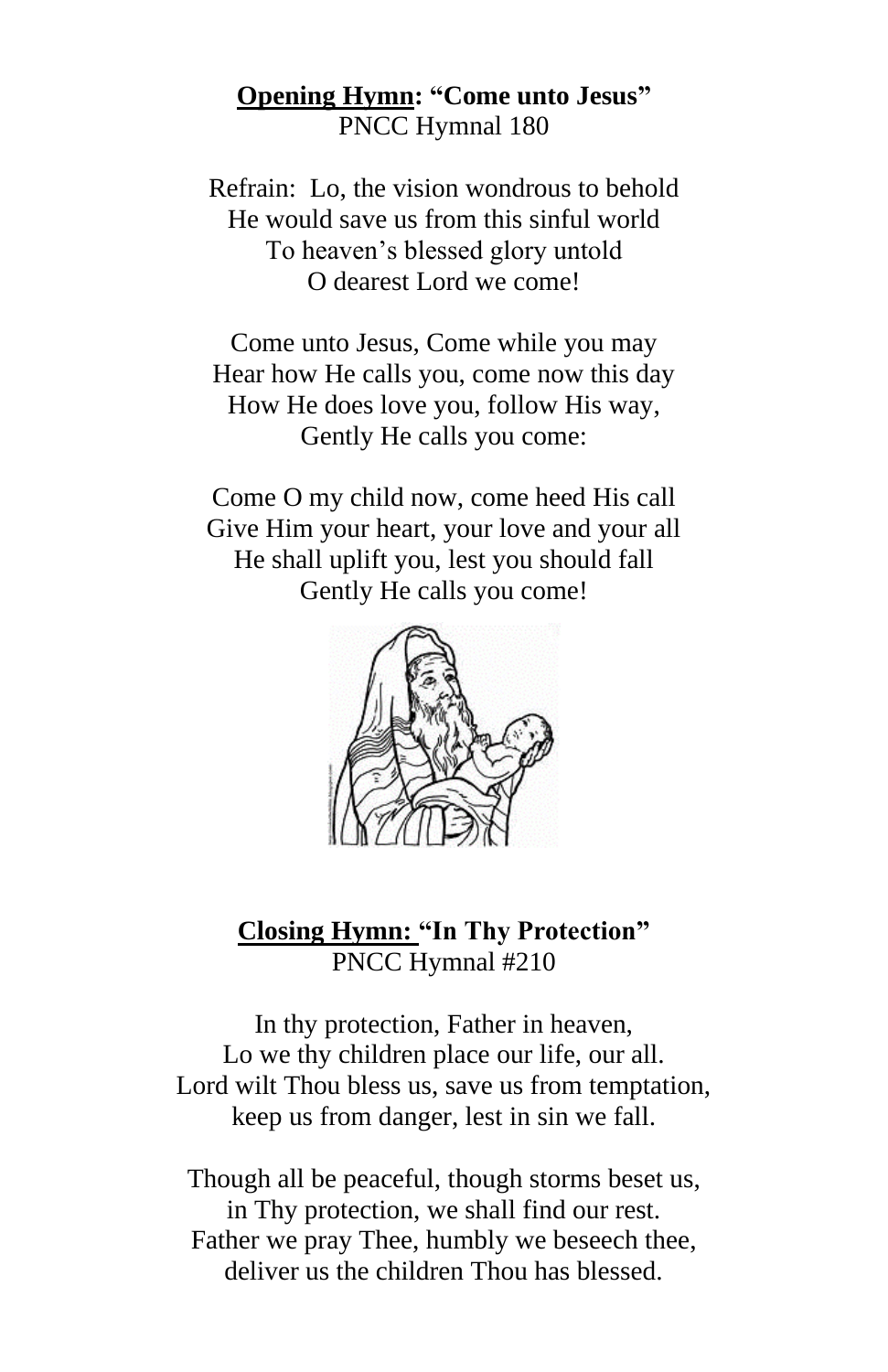### **Opening Hymn: "Come unto Jesus"** PNCC Hymnal 180

Refrain: Lo, the vision wondrous to behold He would save us from this sinful world To heaven's blessed glory untold O dearest Lord we come!

Come unto Jesus, Come while you may Hear how He calls you, come now this day How He does love you, follow His way, Gently He calls you come:

Come O my child now, come heed His call Give Him your heart, your love and your all He shall uplift you, lest you should fall Gently He calls you come!



**Closing Hymn: "In Thy Protection"** PNCC Hymnal #210

In thy protection, Father in heaven, Lo we thy children place our life, our all. Lord wilt Thou bless us, save us from temptation, keep us from danger, lest in sin we fall.

Though all be peaceful, though storms beset us, in Thy protection, we shall find our rest. Father we pray Thee, humbly we beseech thee, deliver us the children Thou has blessed.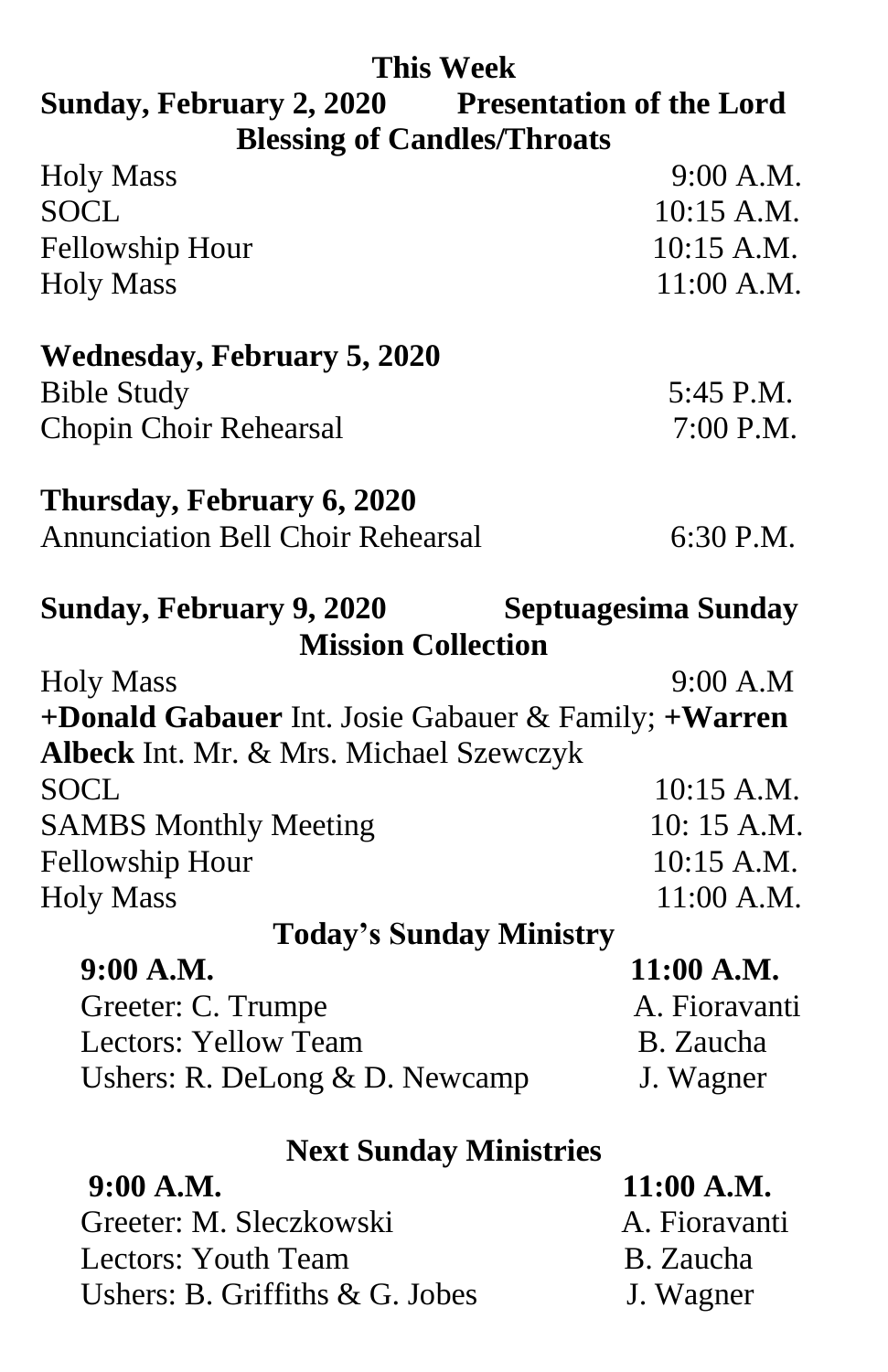### **This Week**

## **Sunday, February 2, 2020 Presentation of the Lord Blessing of Candles/Throats**

| <b>Holy Mass</b>                                     | 9:00 A.M.           |
|------------------------------------------------------|---------------------|
| <b>SOCL</b>                                          | 10:15 A.M.          |
| Fellowship Hour                                      | 10:15 A.M.          |
| <b>Holy Mass</b>                                     | 11:00 A.M.          |
| <b>Wednesday, February 5, 2020</b>                   |                     |
| <b>Bible Study</b>                                   | 5:45 P.M.           |
| <b>Chopin Choir Rehearsal</b>                        | 7:00 P.M.           |
| Thursday, February 6, 2020                           |                     |
| <b>Annunciation Bell Choir Rehearsal</b>             | 6:30 P.M.           |
| Sunday, February 9, 2020                             | Septuagesima Sunday |
| <b>Mission Collection</b>                            |                     |
| <b>Holy Mass</b>                                     | 9:00 A.M            |
| +Donald Gabauer Int. Josie Gabauer & Family; +Warren |                     |
| Albeck Int. Mr. & Mrs. Michael Szewczyk              |                     |
| SOCL                                                 | 10:15 A.M.          |
| <b>SAMBS Monthly Meeting</b>                         | 10:15 A.M.          |
| <b>Fellowship Hour</b>                               | 10:15 A.M.          |
| <b>Holy Mass</b>                                     | 11:00 A.M.          |
| <b>Today's Sunday Ministry</b>                       |                     |
| 9:00 A.M.                                            | 11:00 A.M.          |
| Greeter: C. Trumpe                                   | A. Fioravanti       |
| <b>Lectors: Yellow Team</b>                          | B. Zaucha           |
| Ushers: R. DeLong $& D.$ Newcamp                     | J. Wagner           |
| <b>Next Sunday Ministries</b>                        |                     |
| 9:00 A.M.                                            | 11:00 A.M.          |
| Greeter: M. Sleczkowski                              | A. Fioravanti       |
|                                                      |                     |

Lectors: Youth Team B. Zaucha Ushers: B. Griffiths & G. Jobes J. Wagner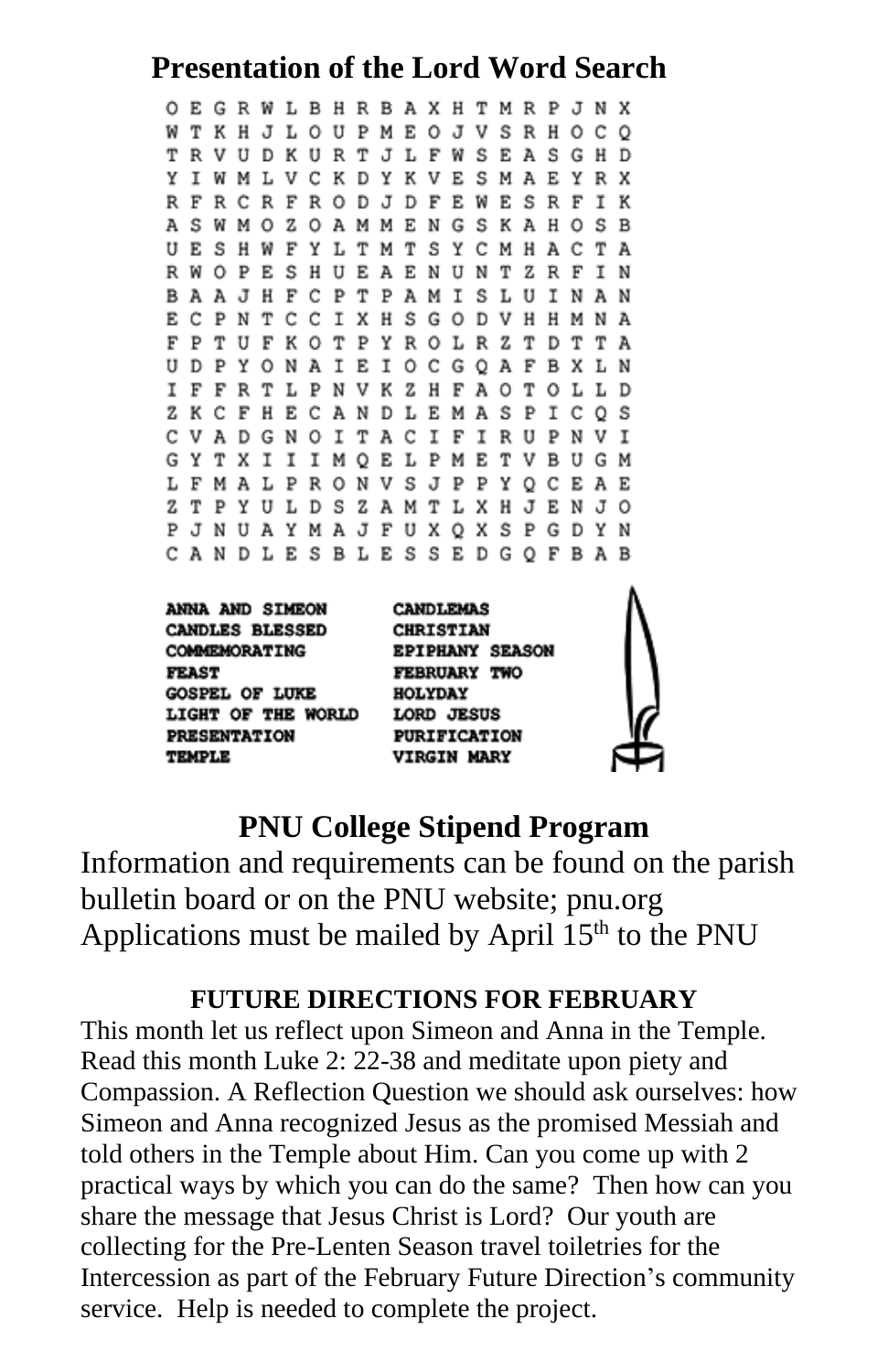## **Presentation of the Lord Word Search**

O E G R W L B H R B A X H T M R P J N X W T K H J L O U P M E O J V S R H O C O TRVUDKURTJLFWSEASGHD Y I W M L V C K D Y K V E S M A E Y R X R F R C R F R O D J D F E W E S R F I K A S W M O Z O A M M E N G S K A H O S B U E S H W F Y L T M T S Y C M H A C T A R W O P E S H U E A E N U N T Z R F I N B A A J H F C P T P A M I S L U I N A N E C P N T C C I X H S G O D V H H M N A F P T U F K O T P Y R O L R Z T D T T A U D P Y O N A I E I O C G Q A F B X L N I F F R T L P N V K Z H F A O T O L L D Z K C F H E C A N D L E M A S P I C O S C V A D G N O I T A C I F I R U P N V I GYTXIII MOELPMETVBUGM L F M A L P R O N V S J P P Y Q C E A E Z T P Y U L D S Z A M T L X H J E N J O P J N U A Y M A J F U X Q X S P G D Y N CANDLESBLESSEDGOFBAB

**ANNA AND SIMEON CANDLES BLESSED COMMEMORATING FEAST GOSPEL OF LUKE** LIGHT OF THE WORLD LORD JESUS PRESENTATION TEMPLE

**CANDLEMAS CHRISTIAN EPIPHANY SEASON FEBRUARY TWO HOLYDAY PURIFICATION VIRGIN MARY** 



### **PNU College Stipend Program**

Information and requirements can be found on the parish bulletin board or on the PNU website; pnu.org Applications must be mailed by April  $15<sup>th</sup>$  to the PNU

#### **FUTURE DIRECTIONS FOR FEBRUARY**

This month let us reflect upon Simeon and Anna in the Temple. Read this month Luke 2: 22-38 and meditate upon piety and Compassion. A Reflection Question we should ask ourselves: how Simeon and Anna recognized Jesus as the promised Messiah and told others in the Temple about Him. Can you come up with 2 practical ways by which you can do the same? Then how can you share the message that Jesus Christ is Lord? Our youth are collecting for the Pre-Lenten Season travel toiletries for the Intercession as part of the February Future Direction's community service. Help is needed to complete the project.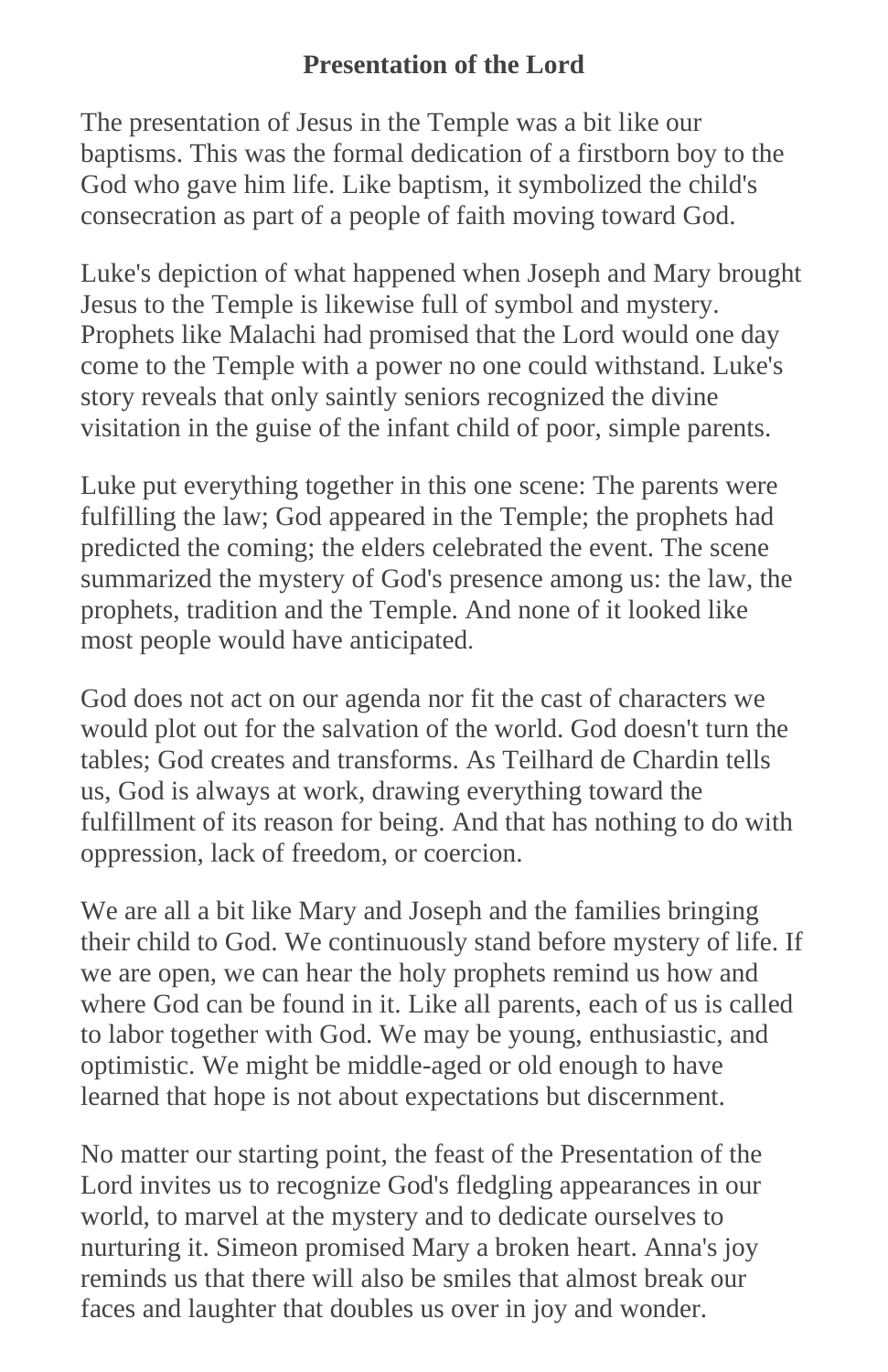### **Presentation of the Lord**

The presentation of Jesus in the Temple was a bit like our baptisms. This was the formal dedication of a firstborn boy to the God who gave him life. Like baptism, it symbolized the child's consecration as part of a people of faith moving toward God.

Luke's depiction of what happened when Joseph and Mary brought Jesus to the Temple is likewise full of symbol and mystery. Prophets like Malachi had promised that the Lord would one day come to the Temple with a power no one could withstand. Luke's story reveals that only saintly seniors recognized the divine visitation in the guise of the infant child of poor, simple parents.

Luke put everything together in this one scene: The parents were fulfilling the law; God appeared in the Temple; the prophets had predicted the coming; the elders celebrated the event. The scene summarized the mystery of God's presence among us: the law, the prophets, tradition and the Temple. And none of it looked like most people would have anticipated.

God does not act on our agenda nor fit the cast of characters we would plot out for the salvation of the world. God doesn't turn the tables; God creates and transforms. As Teilhard de Chardin tells us, God is always at work, drawing everything toward the fulfillment of its reason for being. And that has nothing to do with oppression, lack of freedom, or coercion.

We are all a bit like Mary and Joseph and the families bringing their child to God. We continuously stand before mystery of life. If we are open, we can hear the holy prophets remind us how and where God can be found in it. Like all parents, each of us is called to labor together with God. We may be young, enthusiastic, and optimistic. We might be middle-aged or old enough to have learned that hope is not about expectations but discernment.

No matter our starting point, the feast of the Presentation of the Lord invites us to recognize God's fledgling appearances in our world, to marvel at the mystery and to dedicate ourselves to nurturing it. Simeon promised Mary a broken heart. Anna's joy reminds us that there will also be smiles that almost break our faces and laughter that doubles us over in joy and wonder.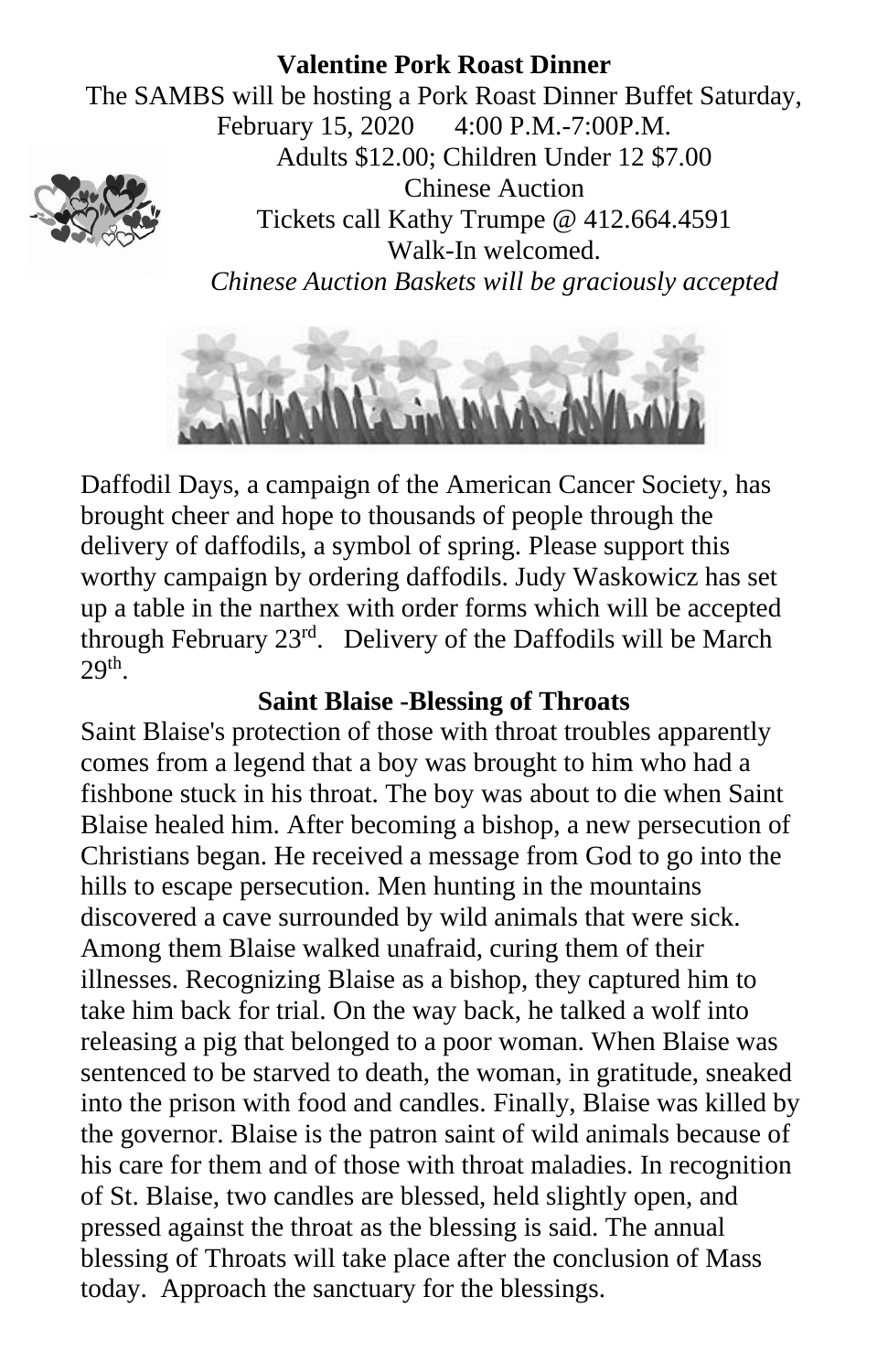#### **Valentine Pork Roast Dinner**

The SAMBS will be hosting a Pork Roast Dinner Buffet Saturday, February 15, 2020 4:00 P.M.-7:00P.M. Adults \$12.00; Children Under 12 \$7.00 Chinese Auction Tickets call Kathy Trumpe @ 412.664.4591 Walk-In welcomed. *Chinese Auction Baskets will be graciously accepted*



Daffodil Days, a campaign of the American Cancer Society, has brought cheer and hope to thousands of people through the delivery of daffodils, a symbol of spring. Please support this worthy campaign by ordering daffodils. Judy Waskowicz has set up a table in the narthex with order forms which will be accepted through February 23rd. Delivery of the Daffodils will be March  $29<sup>th</sup>$ .

### **Saint Blaise -Blessing of Throats**

Saint Blaise's protection of those with throat troubles apparently comes from a legend that a boy was brought to him who had a fishbone stuck in his throat. The boy was about to die when Saint Blaise healed him. After becoming a bishop, a new [persecution](http://www.catholic.org/encyclopedia/view.php?id=9187) of Christians began. He received a message from [God](http://www.catholic.org/encyclopedia/view.php?id=5217) to go into the hills to escape persecution. Men hunting in the mountains discovered a cave surrounded by wild animals that were sick. Among them Blaise walked unafraid, curing them of their illnesses. Recognizing Blaise as a bishop, they captured him to take him back for trial. On the way back, he talked a wolf into releasing a pig that belonged to a poor woman. When Blaise was sentenced to be starved to death, the woman, in gratitude, sneaked into the prison with food and candles. Finally, Blaise was killed by the governor. Blaise is the patron saint of wild animals because of his care for them and of those with throat maladies. In recognition of St. Blaise, two [candles](http://www.catholic.org/encyclopedia/view.php?id=2466) are blessed, held slightly open, and pressed against the throat as the [blessing](http://www.catholic.org/encyclopedia/view.php?id=1948) is said. The annual blessing of Throats will take place after the conclusion of Mass today. Approach the sanctuary for the blessings.